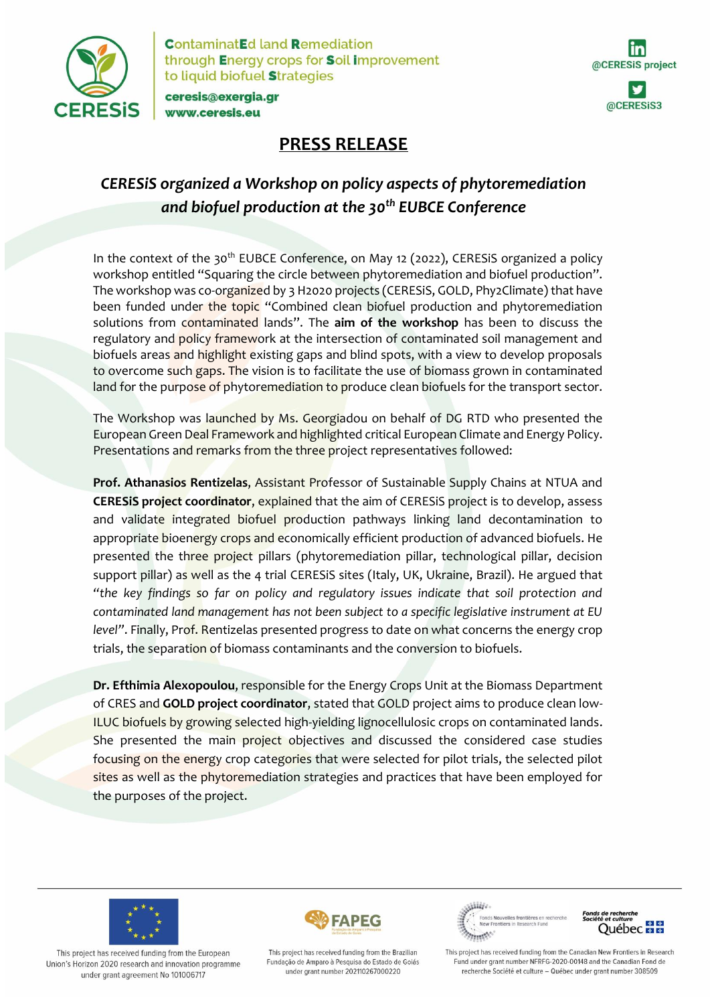

**ContaminatEd land Remediation** through Energy crops for Soil improvement to liquid biofuel Strategies

ceresis@exergia.gr www.ceresis.eu

# @CERESiS project @CERESiS3

## **PRESS RELEASE**

## *CERESiS organized a Workshop on policy aspects of phytoremediation and biofuel production at the 30th EUBCE Conference*

In the context of the 30<sup>th</sup> EUBCE Conference, on May 12 (2022), CERESIS organized a policy workshop entitled "Squaring the circle between phytoremediation and biofuel production". The workshop was co-organized by 3 H2020 projects (CERESiS, GOLD, Phy2Climate) that have been funded under the topic "Combined clean biofuel production and phytoremediation solutions from contaminated lands". The **aim of the workshop** has been to discuss the regulatory and policy framework at the intersection of contaminated soil management and biofuels areas and highlight existing gaps and blind spots, with a view to develop proposals to overcome such gaps. The vision is to facilitate the use of biomass grown in contaminated land for the purpose of phytoremediation to produce clean biofuels for the transport sector.

The Workshop was launched by Ms. Georgiadou on behalf of DG RTD who presented the European Green Deal Framework and highlighted critical European Climate and Energy Policy. Presentations and remarks from the three project representatives followed:

**Prof. Athanasios Rentizelas**, Assistant Professor of Sustainable Supply Chains at NTUA and **CERESiS project coordinator**, explained that the aim of CERESiS project is to develop, assess and validate integrated biofuel production pathways linking land decontamination to appropriate bioenergy crops and economically efficient production of advanced biofuels. He presented the three project pillars (phytoremediation pillar, technological pillar, decision support pillar) as well as the 4 trial CERESiS sites (Italy, UK, Ukraine, Brazil). He argued that *"the key findings so far on policy and regulatory issues indicate that soil protection and contaminated land management has not been subject to a specific legislative instrument at EU level"*. Finally, Prof. Rentizelas presented progress to date on what concerns the energy crop trials, the separation of biomass contaminants and the conversion to biofuels.

**Dr. Efthimia Alexopoulou**, responsible for the Energy Crops Unit at the Biomass Department of CRES and **GOLD project coordinator**, stated that GOLD project aims to produce clean low-ILUC biofuels by growing selected high-yielding lignocellulosic crops on contaminated lands. She presented the main project objectives and discussed the considered case studies focusing on the energy crop categories that were selected for pilot trials, the selected pilot sites as well as the phytoremediation strategies and practices that have been employed for the purposes of the project.



This project has received funding from the European Union's Horizon 2020 research and innovation programme under grant agreement No 101006717



Wille **Alliger** 



This project has received funding from the Brazilian Fundação de Amparo à Pesquisa do Estado de Goiás under grant number 202110267000220

This project has received funding from the Canadian New Frontiers in Research Fund under grant number NFRFG-2020-00148 and the Canadian Fond de recherche Société et culture - Québec under grant number 308509